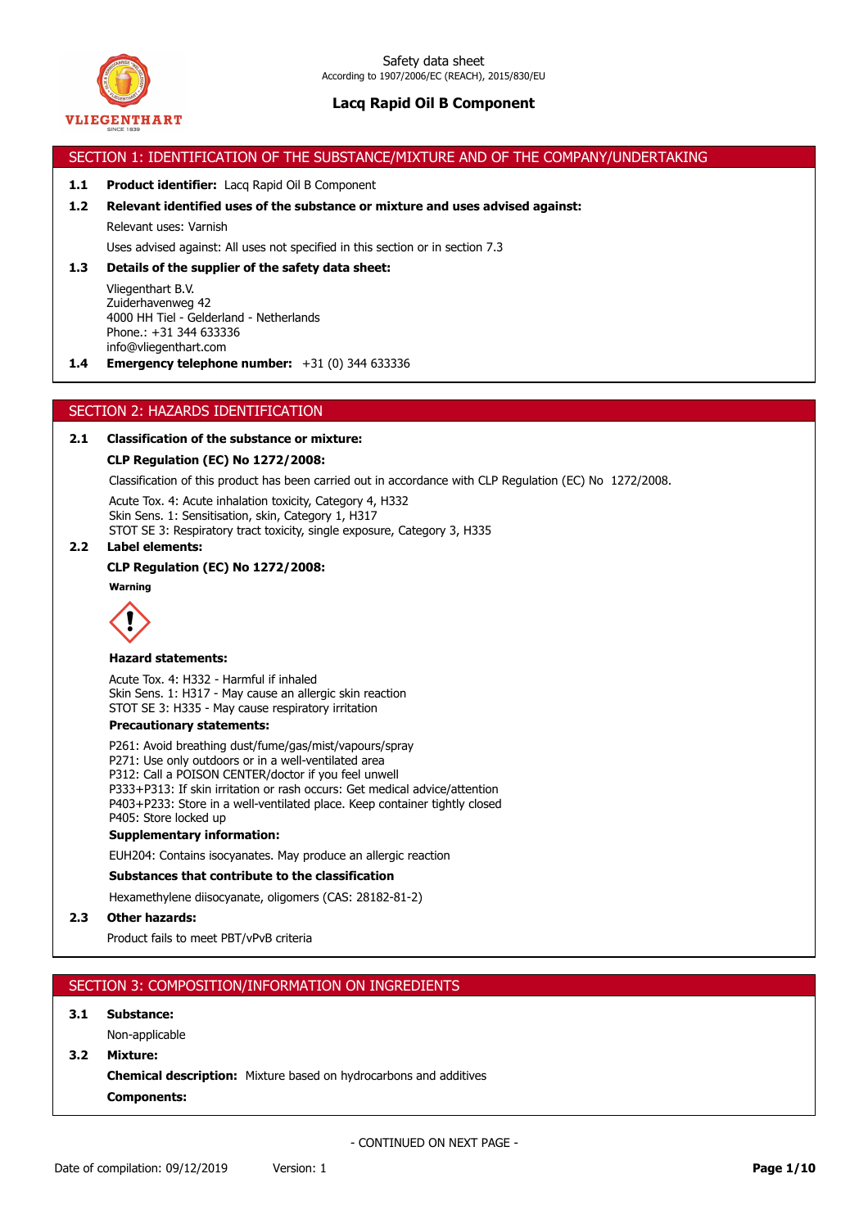

# SECTION 1: IDENTIFICATION OF THE SUBSTANCE/MIXTURE AND OF THE COMPANY/UNDERTAKING

### **1.1 Product identifier:** Lacq Rapid Oil B Component

#### **1.2 Relevant identified uses of the substance or mixture and uses advised against:**

Relevant uses: Varnish

Uses advised against: All uses not specified in this section or in section 7.3

## **1.3 Details of the supplier of the safety data sheet:**

Vliegenthart B.V. Zuiderhavenweg 42 4000 HH Tiel - Gelderland - Netherlands Phone.: +31 344 633336 info@vliegenthart.com

**1.4 Emergency telephone number:** +31 (0) 344 633336

## SECTION 2: HAZARDS IDENTIFICATION

# **2.1 Classification of the substance or mixture:**

#### **CLP Regulation (EC) No 1272/2008:**

Classification of this product has been carried out in accordance with CLP Regulation (EC) No 1272/2008.

Acute Tox. 4: Acute inhalation toxicity, Category 4, H332 Skin Sens. 1: Sensitisation, skin, Category 1, H317 STOT SE 3: Respiratory tract toxicity, single exposure, Category 3, H335

#### **2.2 Label elements:**

#### **CLP Regulation (EC) No 1272/2008:**

**Warning**



#### **Hazard statements:**

Acute Tox. 4: H332 - Harmful if inhaled Skin Sens. 1: H317 - May cause an allergic skin reaction STOT SE 3: H335 - May cause respiratory irritation

# **Precautionary statements:**

P261: Avoid breathing dust/fume/gas/mist/vapours/spray P271: Use only outdoors or in a well-ventilated area P312: Call a POISON CENTER/doctor if you feel unwell P333+P313: If skin irritation or rash occurs: Get medical advice/attention P403+P233: Store in a well-ventilated place. Keep container tightly closed P405: Store locked up

# **Supplementary information:**

EUH204: Contains isocyanates. May produce an allergic reaction

### **Substances that contribute to the classification**

Hexamethylene diisocyanate, oligomers (CAS: 28182-81-2)

# **2.3 Other hazards:**

Product fails to meet PBT/vPvB criteria

## SECTION 3: COMPOSITION/INFORMATION ON INGREDIENTS

## **3.1 Substance:**

Non-applicable

#### **3.2 Mixture:**

**Chemical description:** Mixture based on hydrocarbons and additives **Components:**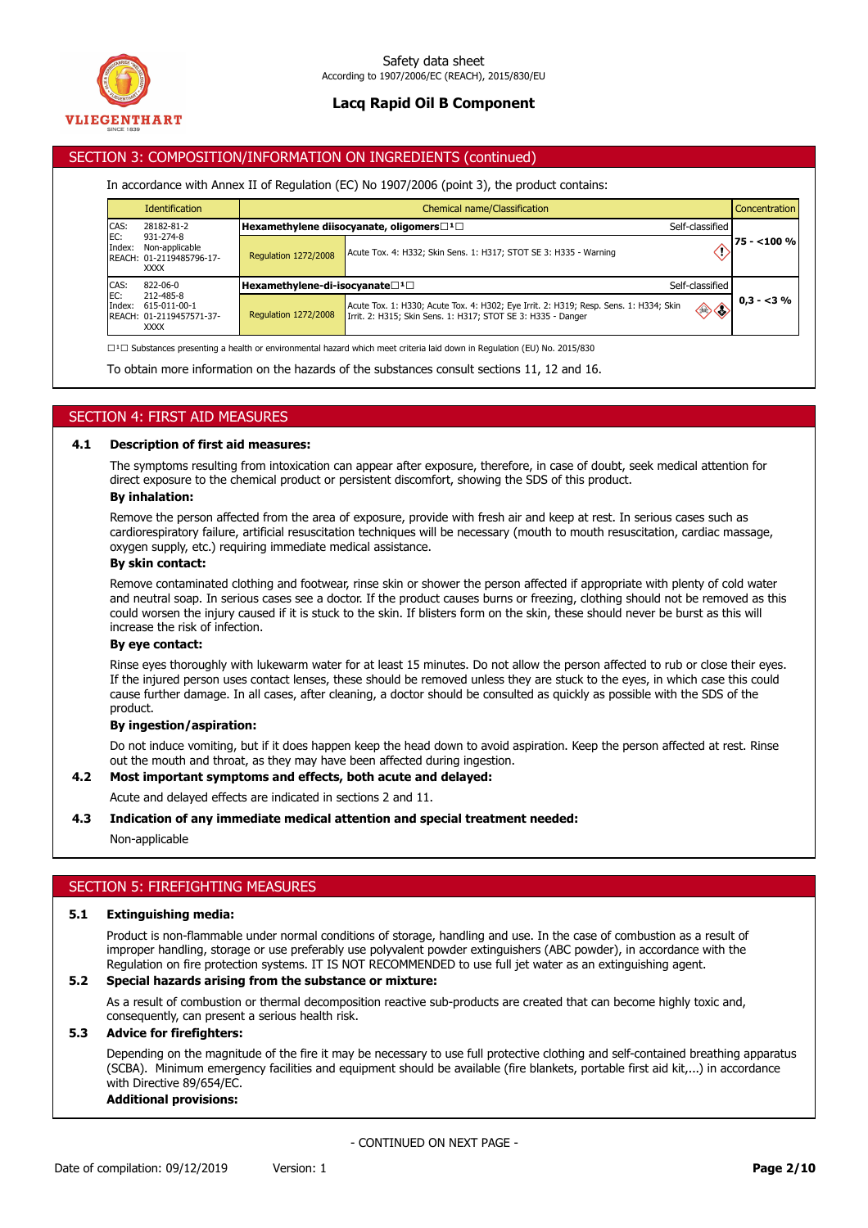

# SECTION 3: COMPOSITION/INFORMATION ON INGREDIENTS (continued)

## In accordance with Annex II of Regulation (EC) No 1907/2006 (point 3), the product contains:

|               | <b>Identification</b>                                                |                                             | Chemical name/Classification<br><b>Concentration</b>                                                                                                  |                 |              |
|---------------|----------------------------------------------------------------------|---------------------------------------------|-------------------------------------------------------------------------------------------------------------------------------------------------------|-----------------|--------------|
| CAS:          | 28182-81-2                                                           |                                             | Hexamethylene diisocyanate, oligomers□ <sup>1</sup> □                                                                                                 | Self-classified |              |
| EC:<br>Index: | 931-274-8<br>Non-applicable<br>REACH: 01-2119485796-17-<br>XXXX      | <b>Regulation 1272/2008</b>                 | Acute Tox. 4: H332; Skin Sens. 1: H317; STOT SE 3: H335 - Warning                                                                                     |                 | 75 - < 100 % |
| CAS:          | $822 - 06 - 0$                                                       | Hexamethylene-di-isocyanate□ <sup>1</sup> □ |                                                                                                                                                       | Self-classified |              |
| EC:<br>Index: | 212-485-8<br>615-011-00-1<br>REACH: 01-2119457571-37-<br><b>XXXX</b> | <b>Regulation 1272/2008</b>                 | Acute Tox. 1: H330; Acute Tox. 4: H302; Eye Irrit. 2: H319; Resp. Sens. 1: H334; Skin<br>Irrit. 2: H315; Skin Sens. 1: H317; STOT SE 3: H335 - Danger | $\diamondsuit$  | $0,3 - 3%$   |

 $\Box$ <sup>1</sup> $\Box$  Substances presenting a health or environmental hazard which meet criteria laid down in Regulation (EU) No. 2015/830

To obtain more information on the hazards of the substances consult sections 11, 12 and 16.

# SECTION 4: FIRST AID MEASURES

#### **4.1 Description of first aid measures:**

The symptoms resulting from intoxication can appear after exposure, therefore, in case of doubt, seek medical attention for direct exposure to the chemical product or persistent discomfort, showing the SDS of this product. **By inhalation:**

Remove the person affected from the area of exposure, provide with fresh air and keep at rest. In serious cases such as cardiorespiratory failure, artificial resuscitation techniques will be necessary (mouth to mouth resuscitation, cardiac massage, oxygen supply, etc.) requiring immediate medical assistance.

## **By skin contact:**

Remove contaminated clothing and footwear, rinse skin or shower the person affected if appropriate with plenty of cold water and neutral soap. In serious cases see a doctor. If the product causes burns or freezing, clothing should not be removed as this could worsen the injury caused if it is stuck to the skin. If blisters form on the skin, these should never be burst as this will increase the risk of infection.

# **By eye contact:**

Rinse eyes thoroughly with lukewarm water for at least 15 minutes. Do not allow the person affected to rub or close their eyes. If the injured person uses contact lenses, these should be removed unless they are stuck to the eyes, in which case this could cause further damage. In all cases, after cleaning, a doctor should be consulted as quickly as possible with the SDS of the product.

#### **By ingestion/aspiration:**

Do not induce vomiting, but if it does happen keep the head down to avoid aspiration. Keep the person affected at rest. Rinse out the mouth and throat, as they may have been affected during ingestion.

### **4.2 Most important symptoms and effects, both acute and delayed:**

Acute and delayed effects are indicated in sections 2 and 11.

#### **4.3 Indication of any immediate medical attention and special treatment needed:**

Non-applicable

# SECTION 5: FIREFIGHTING MEASURES

## **5.1 Extinguishing media:**

Product is non-flammable under normal conditions of storage, handling and use. In the case of combustion as a result of improper handling, storage or use preferably use polyvalent powder extinguishers (ABC powder), in accordance with the Regulation on fire protection systems. IT IS NOT RECOMMENDED to use full jet water as an extinguishing agent.

## **5.2 Special hazards arising from the substance or mixture:**

As a result of combustion or thermal decomposition reactive sub-products are created that can become highly toxic and, consequently, can present a serious health risk.

## **5.3 Advice for firefighters:**

Depending on the magnitude of the fire it may be necessary to use full protective clothing and self-contained breathing apparatus (SCBA). Minimum emergency facilities and equipment should be available (fire blankets, portable first aid kit,...) in accordance with Directive 89/654/EC.

## **Additional provisions:**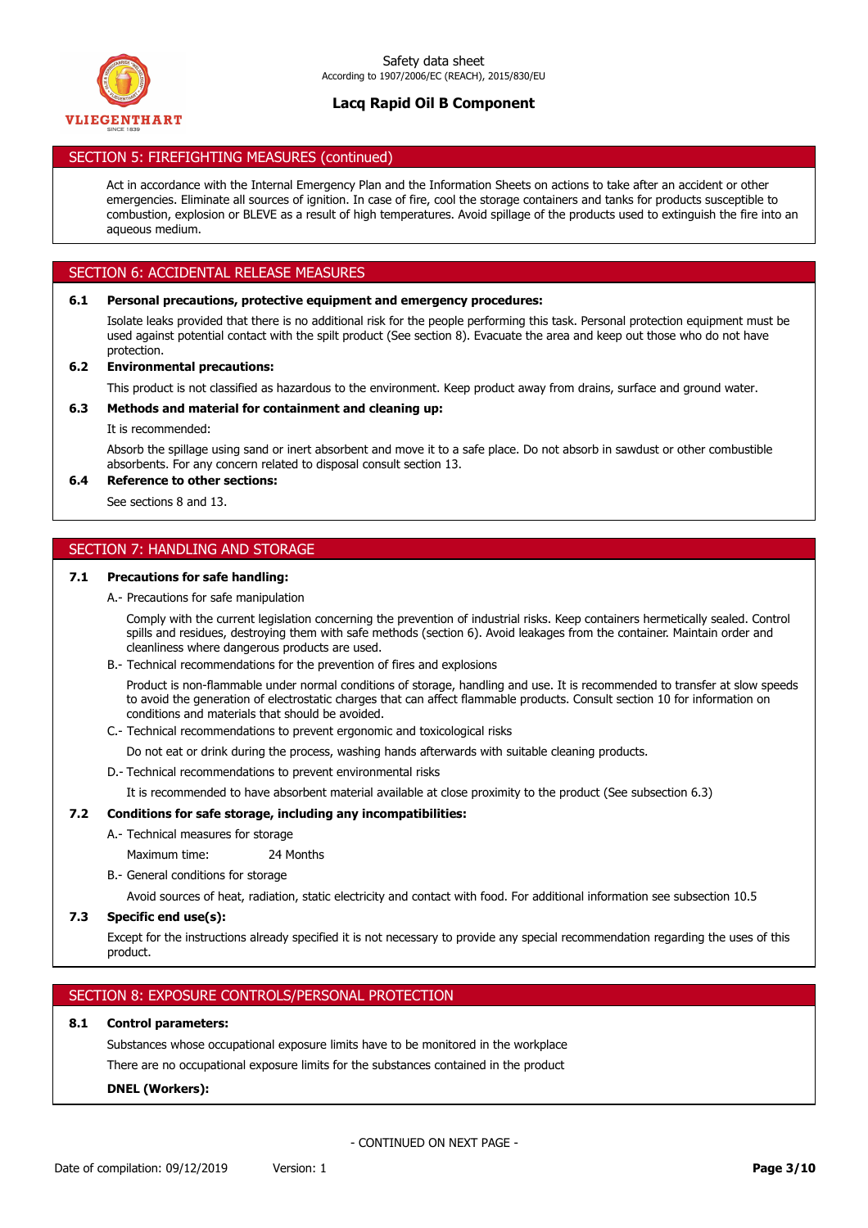

# SECTION 5: FIREFIGHTING MEASURES (continued)

Act in accordance with the Internal Emergency Plan and the Information Sheets on actions to take after an accident or other emergencies. Eliminate all sources of ignition. In case of fire, cool the storage containers and tanks for products susceptible to combustion, explosion or BLEVE as a result of high temperatures. Avoid spillage of the products used to extinguish the fire into an aqueous medium.

# SECTION 6: ACCIDENTAL RELEASE MEASURES

## **6.1 Personal precautions, protective equipment and emergency procedures:**

Isolate leaks provided that there is no additional risk for the people performing this task. Personal protection equipment must be used against potential contact with the spilt product (See section 8). Evacuate the area and keep out those who do not have protection.

## **6.2 Environmental precautions:**

This product is not classified as hazardous to the environment. Keep product away from drains, surface and ground water.

### **6.3 Methods and material for containment and cleaning up:**

It is recommended:

Absorb the spillage using sand or inert absorbent and move it to a safe place. Do not absorb in sawdust or other combustible absorbents. For any concern related to disposal consult section 13.

# **6.4 Reference to other sections:**

See sections 8 and 13.

# SECTION 7: HANDLING AND STORAGE

### **7.1 Precautions for safe handling:**

### A.- Precautions for safe manipulation

Comply with the current legislation concerning the prevention of industrial risks. Keep containers hermetically sealed. Control spills and residues, destroying them with safe methods (section 6). Avoid leakages from the container. Maintain order and cleanliness where dangerous products are used.

B.- Technical recommendations for the prevention of fires and explosions

Product is non-flammable under normal conditions of storage, handling and use. It is recommended to transfer at slow speeds to avoid the generation of electrostatic charges that can affect flammable products. Consult section 10 for information on conditions and materials that should be avoided.

C.- Technical recommendations to prevent ergonomic and toxicological risks

Do not eat or drink during the process, washing hands afterwards with suitable cleaning products.

D.- Technical recommendations to prevent environmental risks

It is recommended to have absorbent material available at close proximity to the product (See subsection 6.3)

## **7.2 Conditions for safe storage, including any incompatibilities:**

## A.- Technical measures for storage

Maximum time: 24 Months

B.- General conditions for storage

Avoid sources of heat, radiation, static electricity and contact with food. For additional information see subsection 10.5

# **7.3 Specific end use(s):**

Except for the instructions already specified it is not necessary to provide any special recommendation regarding the uses of this product.

# SECTION 8: EXPOSURE CONTROLS/PERSONAL PROTECTION

## **8.1 Control parameters:**

Substances whose occupational exposure limits have to be monitored in the workplace

There are no occupational exposure limits for the substances contained in the product

## **DNEL (Workers):**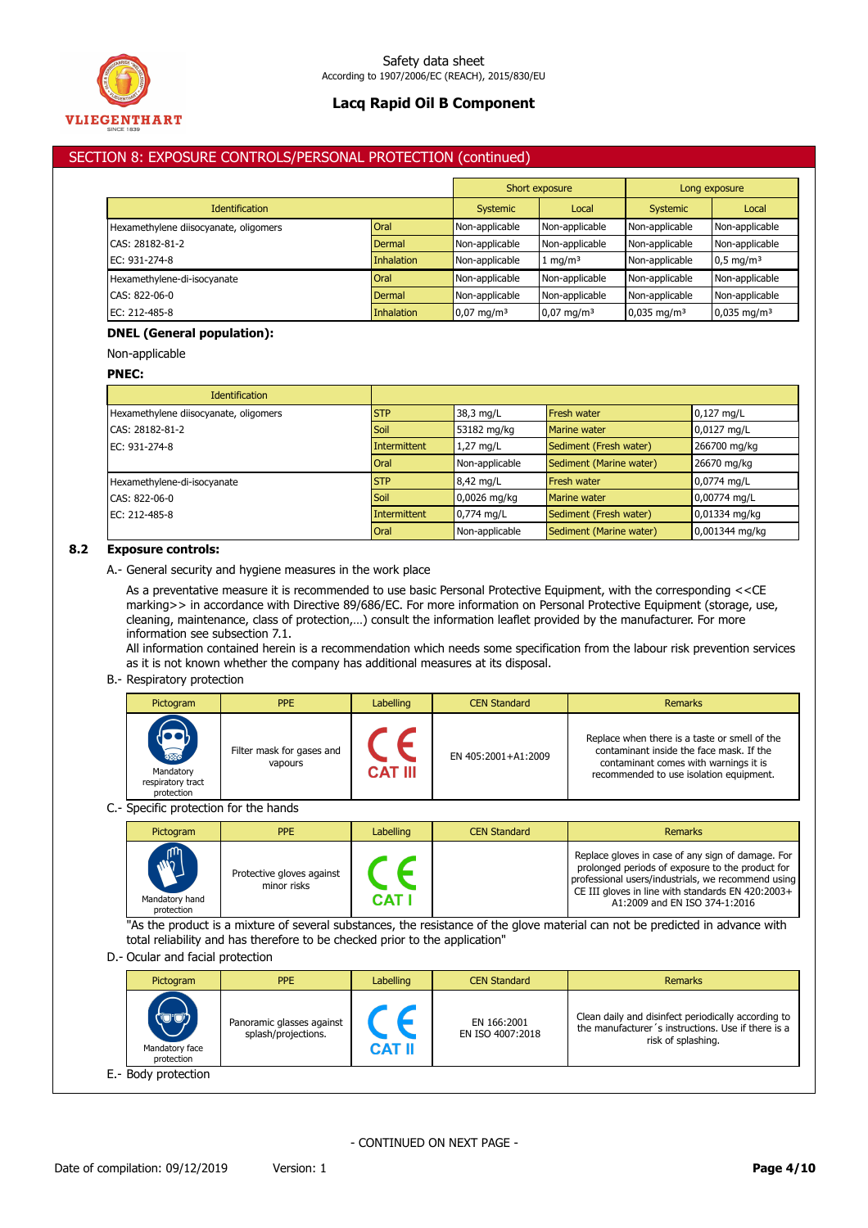

# SECTION 8: EXPOSURE CONTROLS/PERSONAL PROTECTION (continued)

|                                       |             |                       | Short exposure        |                           | Long exposure             |
|---------------------------------------|-------------|-----------------------|-----------------------|---------------------------|---------------------------|
| <b>Identification</b>                 |             | Systemic              | Local                 | <b>Systemic</b>           | Local                     |
| Hexamethylene diisocyanate, oligomers | <b>Oral</b> | Non-applicable        | Non-applicable        | Non-applicable            | Non-applicable            |
| CAS: 28182-81-2                       | Dermal      | Non-applicable        | Non-applicable        | Non-applicable            | Non-applicable            |
| EC: 931-274-8                         | Inhalation  | Non-applicable        | $1 \text{ mg/m}^3$    | Non-applicable            | $0,5 \,\mathrm{mg/m^3}$   |
| Hexamethylene-di-isocyanate           | <b>Oral</b> | Non-applicable        | Non-applicable        | Non-applicable            | Non-applicable            |
| CAS: 822-06-0                         | Dermal      | Non-applicable        | Non-applicable        | Non-applicable            | Non-applicable            |
| EC: 212-485-8                         | Inhalation  | $0.07 \text{ mg/m}^3$ | $0.07 \text{ mg/m}^3$ | $0.035$ mg/m <sup>3</sup> | $0.035$ mg/m <sup>3</sup> |

## **DNEL (General population):**

#### Non-applicable

# **PNEC:**

| <b>Identification</b>                 |              |                |                         |                |
|---------------------------------------|--------------|----------------|-------------------------|----------------|
| Hexamethylene diisocyanate, oligomers | <b>STP</b>   | 38,3 mg/L      | <b>Fresh water</b>      | $0,127$ mg/L   |
| CAS: 28182-81-2                       | Soil         | 53182 mg/kg    | Marine water            | 0,0127 mg/L    |
| EC: 931-274-8                         | Intermittent | $1,27$ mg/L    | Sediment (Fresh water)  | 266700 mg/kg   |
|                                       | Oral         | Non-applicable | Sediment (Marine water) | 26670 mg/kg    |
| Hexamethylene-di-isocyanate           | <b>STP</b>   | 8,42 mg/L      | <b>Fresh water</b>      | 0,0774 mg/L    |
| CAS: 822-06-0                         | Soil         | 0,0026 mg/kg   | Marine water            | 0,00774 mg/L   |
| EC: 212-485-8                         | Intermittent | 0,774 mg/L     | Sediment (Fresh water)  | 0,01334 mg/kg  |
|                                       | Oral         | Non-applicable | Sediment (Marine water) | 0,001344 mg/kg |

# **8.2 Exposure controls:**

A.- General security and hygiene measures in the work place

As a preventative measure it is recommended to use basic Personal Protective Equipment, with the corresponding <<CE marking>> in accordance with Directive 89/686/EC. For more information on Personal Protective Equipment (storage, use, cleaning, maintenance, class of protection,…) consult the information leaflet provided by the manufacturer. For more information see subsection 7.1.

All information contained herein is a recommendation which needs some specification from the labour risk prevention services as it is not known whether the company has additional measures at its disposal.

#### B.- Respiratory protection

| Pictogram                                                   | <b>PPE</b>                           | Labelling      | <b>CEN Standard</b> | <b>Remarks</b>                                                                                                                                                                |
|-------------------------------------------------------------|--------------------------------------|----------------|---------------------|-------------------------------------------------------------------------------------------------------------------------------------------------------------------------------|
| <b>RESP</b><br>Mandatory<br>respiratory tract<br>protection | Filter mask for gases and<br>vapours | <b>CAT III</b> | EN 405:2001+A1:2009 | Replace when there is a taste or smell of the<br>contaminant inside the face mask. If the<br>contaminant comes with warnings it is<br>recommended to use isolation equipment. |

## C.- Specific protection for the hands

| Pictogram                    | <b>PPE</b>                               | <b>Labelling</b> | <b>CEN Standard</b> | <b>Remarks</b>                                                                                                                                                                                                                                    |
|------------------------------|------------------------------------------|------------------|---------------------|---------------------------------------------------------------------------------------------------------------------------------------------------------------------------------------------------------------------------------------------------|
| Mandatory hand<br>protection | Protective gloves against<br>minor risks | CAT I            |                     | Replace gloves in case of any sign of damage. For<br>prolonged periods of exposure to the product for<br>professional users/industrials, we recommend using<br>CE III gloves in line with standards EN 420:2003+<br>A1:2009 and EN ISO 374-1:2016 |

"As the product is a mixture of several substances, the resistance of the glove material can not be predicted in advance with total reliability and has therefore to be checked prior to the application"

#### D.- Ocular and facial protection

| Pictogram                            | <b>PPE</b>                                       | Labelling     | <b>CEN Standard</b>             | <b>Remarks</b>                                                                                                                  |
|--------------------------------------|--------------------------------------------------|---------------|---------------------------------|---------------------------------------------------------------------------------------------------------------------------------|
| (UU)<br>Mandatory face<br>protection | Panoramic glasses against<br>splash/projections. | <b>CAT II</b> | EN 166:2001<br>EN ISO 4007:2018 | Clean daily and disinfect periodically according to<br>the manufacturer's instructions. Use if there is a<br>risk of splashing. |
| E.- Body protection                  |                                                  |               |                                 |                                                                                                                                 |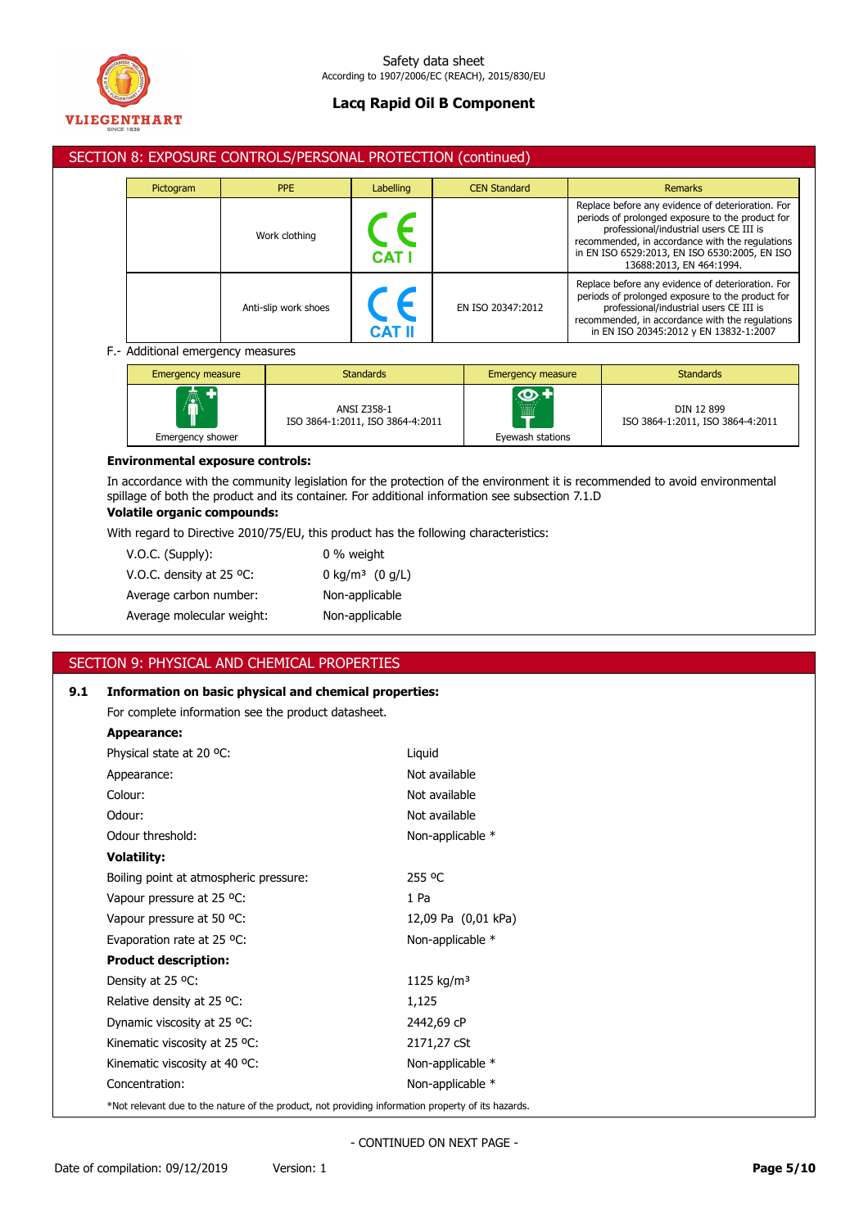

|                                   | SECTION 8: EXPOSURE CONTROLS/PERSONAL PROTECTION (continued) |               |                     |                                                                                                                                                                                                                                                                                  |
|-----------------------------------|--------------------------------------------------------------|---------------|---------------------|----------------------------------------------------------------------------------------------------------------------------------------------------------------------------------------------------------------------------------------------------------------------------------|
| Pictogram                         | <b>PPE</b>                                                   | Labelling     | <b>CEN Standard</b> | <b>Remarks</b>                                                                                                                                                                                                                                                                   |
|                                   | Work clothing                                                | <b>CAT I</b>  |                     | Replace before any evidence of deterioration. For<br>periods of prolonged exposure to the product for<br>professional/industrial users CE III is<br>recommended, in accordance with the regulations<br>in EN ISO 6529:2013, EN ISO 6530:2005, EN ISO<br>13688:2013, EN 464:1994. |
|                                   | Anti-slip work shoes                                         | <b>CAT II</b> | EN ISO 20347:2012   | Replace before any evidence of deterioration. For<br>periods of prolonged exposure to the product for<br>professional/industrial users CE III is<br>recommended, in accordance with the regulations<br>in EN ISO 20345:2012 y EN 13832-1:2007                                    |
| F.- Additional emergency measures |                                                              |               |                     |                                                                                                                                                                                                                                                                                  |

| <b>Emergency measure</b> | <b>Standards</b>                                | <b>Emergency measure</b>                               | <b>Standards</b>                               |
|--------------------------|-------------------------------------------------|--------------------------------------------------------|------------------------------------------------|
| Ѧ<br>Emergency shower    | ANSI Z358-1<br>ISO 3864-1:2011, ISO 3864-4:2011 | $\bigcirc$<br>.<br>1111117<br>WINN<br>Eyewash stations | DIN 12 899<br>ISO 3864-1:2011, ISO 3864-4:2011 |

# **Environmental exposure controls:**

In accordance with the community legislation for the protection of the environment it is recommended to avoid environmental spillage of both the product and its container. For additional information see subsection 7.1.D

# **Volatile organic compounds:**

With regard to Directive 2010/75/EU, this product has the following characteristics:

| $V.O.C.$ (Supply):         | 0 % weight                    |
|----------------------------|-------------------------------|
| V.O.C. density at $25$ °C. | 0 kg/m <sup>3</sup> $(0 g/L)$ |
| Average carbon number:     | Non-applicable                |
| Average molecular weight:  | Non-applicable                |

# SECTION 9: PHYSICAL AND CHEMICAL PROPERTIES

# **9.1 Information on basic physical and chemical properties:**

For complete information see the product datasheet.

#### **Appearance:**

| Physical state at 20 °C:                | Liquid                                                                                             |  |  |  |  |
|-----------------------------------------|----------------------------------------------------------------------------------------------------|--|--|--|--|
| Appearance:                             | Not available                                                                                      |  |  |  |  |
| Colour:                                 | Not available                                                                                      |  |  |  |  |
| Odour:                                  | Not available                                                                                      |  |  |  |  |
| Odour threshold:                        | Non-applicable *                                                                                   |  |  |  |  |
| <b>Volatility:</b>                      |                                                                                                    |  |  |  |  |
| Boiling point at atmospheric pressure:  | 255 °C                                                                                             |  |  |  |  |
| Vapour pressure at 25 °C:               | 1 Pa                                                                                               |  |  |  |  |
| Vapour pressure at 50 °C:               | 12,09 Pa (0,01 kPa)                                                                                |  |  |  |  |
| Evaporation rate at 25 °C:              | Non-applicable *                                                                                   |  |  |  |  |
| <b>Product description:</b>             |                                                                                                    |  |  |  |  |
| Density at 25 °C:                       | 1125 kg/m <sup>3</sup>                                                                             |  |  |  |  |
| Relative density at 25 °C.              | 1,125                                                                                              |  |  |  |  |
| Dynamic viscosity at 25 °C:             | 2442,69 cP                                                                                         |  |  |  |  |
| Kinematic viscosity at 25 °C:           | 2171,27 cSt                                                                                        |  |  |  |  |
| Kinematic viscosity at 40 $^{\circ}$ C: | Non-applicable *                                                                                   |  |  |  |  |
| Concentration:                          | Non-applicable *                                                                                   |  |  |  |  |
|                                         | *Not relevant due to the nature of the product, not providing information property of its hazards. |  |  |  |  |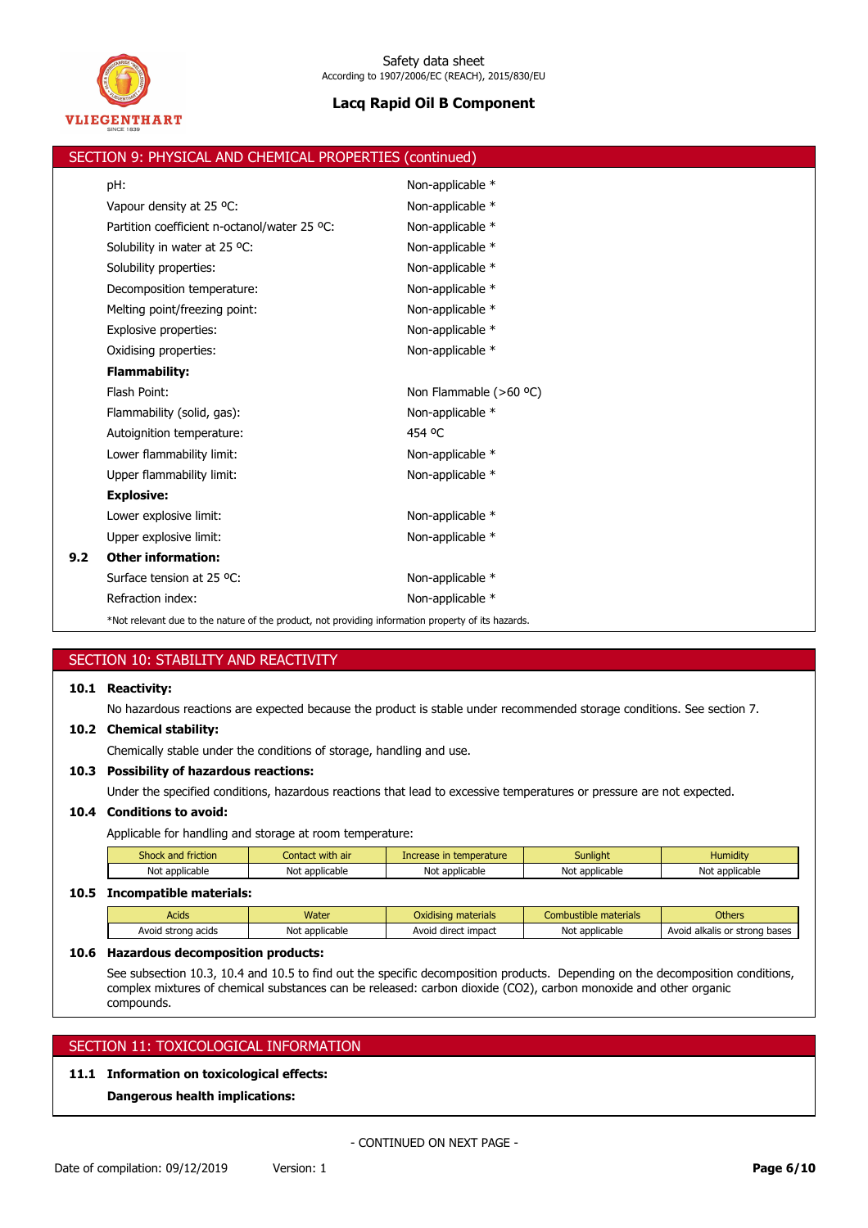

|     | SECTION 9: PHYSICAL AND CHEMICAL PROPERTIES (continued)                                            |                                                                                                                        |
|-----|----------------------------------------------------------------------------------------------------|------------------------------------------------------------------------------------------------------------------------|
|     | pH:                                                                                                | Non-applicable *                                                                                                       |
|     | Vapour density at 25 °C:                                                                           | Non-applicable *                                                                                                       |
|     | Partition coefficient n-octanol/water 25 °C:                                                       | Non-applicable *                                                                                                       |
|     | Solubility in water at 25 °C:                                                                      | Non-applicable *                                                                                                       |
|     | Solubility properties:                                                                             | Non-applicable *                                                                                                       |
|     | Decomposition temperature:                                                                         | Non-applicable *                                                                                                       |
|     | Melting point/freezing point:                                                                      | Non-applicable *                                                                                                       |
|     | Explosive properties:                                                                              | Non-applicable *                                                                                                       |
|     | Oxidising properties:                                                                              | Non-applicable *                                                                                                       |
|     | <b>Flammability:</b>                                                                               |                                                                                                                        |
|     | Flash Point:                                                                                       | Non Flammable (>60 °C)                                                                                                 |
|     | Flammability (solid, gas):                                                                         | Non-applicable *                                                                                                       |
|     | Autoignition temperature:                                                                          | 454 °C                                                                                                                 |
|     | Lower flammability limit:                                                                          | Non-applicable *                                                                                                       |
|     | Upper flammability limit:                                                                          | Non-applicable *                                                                                                       |
|     | <b>Explosive:</b>                                                                                  |                                                                                                                        |
|     | Lower explosive limit:                                                                             | Non-applicable *                                                                                                       |
|     | Upper explosive limit:                                                                             | Non-applicable *                                                                                                       |
| 9.2 | <b>Other information:</b>                                                                          |                                                                                                                        |
|     | Surface tension at 25 °C:                                                                          | Non-applicable *                                                                                                       |
|     | Refraction index:                                                                                  | Non-applicable *                                                                                                       |
|     | *Not relevant due to the nature of the product, not providing information property of its hazards. |                                                                                                                        |
|     |                                                                                                    |                                                                                                                        |
|     | SECTION 10: STABILITY AND REACTIVITY                                                               |                                                                                                                        |
|     | 10.1 Reactivity:                                                                                   |                                                                                                                        |
|     |                                                                                                    | No hazardous reactions are expected because the product is stable under recommended storage conditions. See section 7. |
|     | 10.2 Chemical stability:                                                                           |                                                                                                                        |

Chemically stable under the conditions of storage, handling and use.

# **10.3 Possibility of hazardous reactions:**

Under the specified conditions, hazardous reactions that lead to excessive temperatures or pressure are not expected.

# **10.4 Conditions to avoid:**

Applicable for handling and storage at room temperature:

| .<br>Shock and friction | 1.1<br>Contact with air | temperature<br>arease | Sunlight       | Humidity       |
|-------------------------|-------------------------|-----------------------|----------------|----------------|
| Not applicable          | Not<br>: applicable     | Not applicable        | Not applicable | Not applicable |

# **10.5 Incompatible materials:**

| Acids              | <b>Water</b>   | Oxidising materials      | mbustible materials | <b>Others</b>                 |  |
|--------------------|----------------|--------------------------|---------------------|-------------------------------|--|
| Avoid strong acids | Not applicable | : impact<br>Avoid direct | Not applicable      | Avoid alkalis or strong bases |  |

# **10.6 Hazardous decomposition products:**

See subsection 10.3, 10.4 and 10.5 to find out the specific decomposition products. Depending on the decomposition conditions, complex mixtures of chemical substances can be released: carbon dioxide (CO2), carbon monoxide and other organic compounds.

# SECTION 11: TOXICOLOGICAL INFORMATION

# **11.1 Information on toxicological effects:**

**Dangerous health implications:**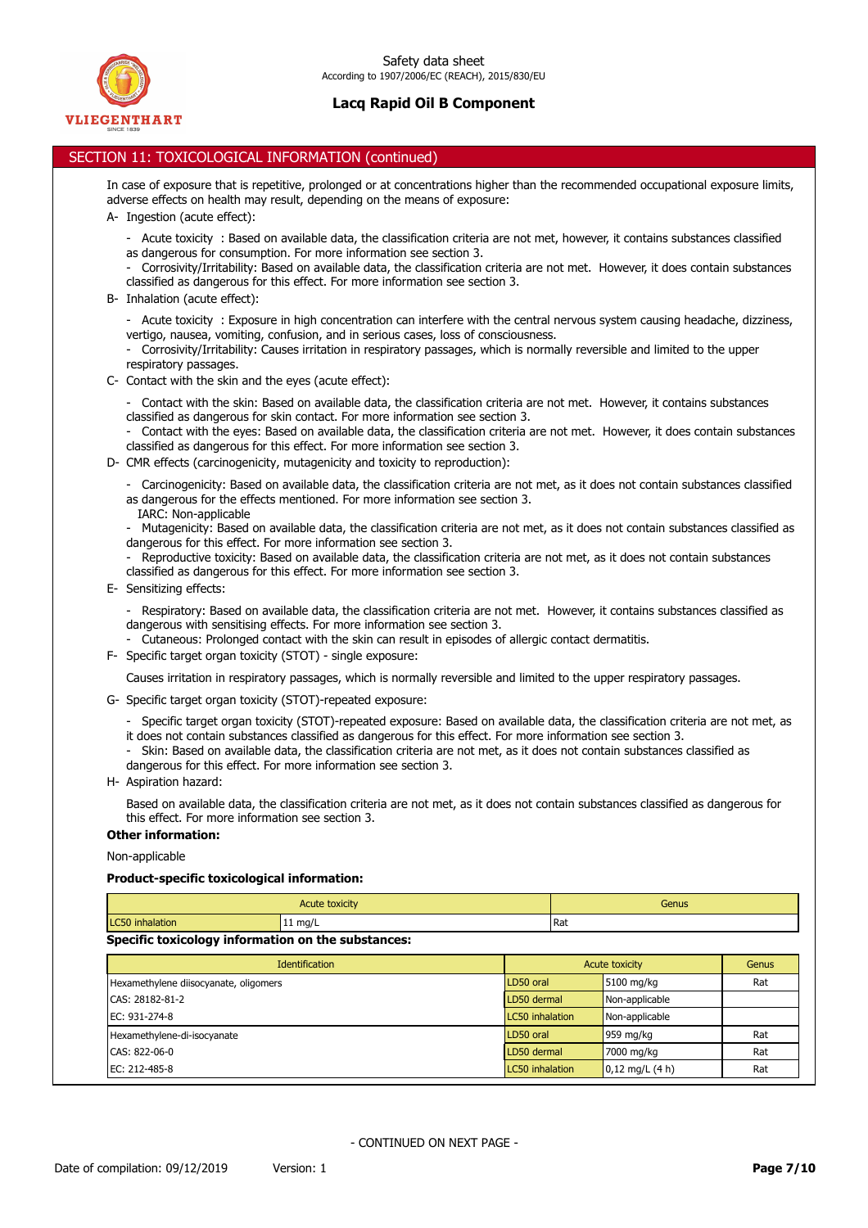

# SECTION 11: TOXICOLOGICAL INFORMATION (continued)

In case of exposure that is repetitive, prolonged or at concentrations higher than the recommended occupational exposure limits, adverse effects on health may result, depending on the means of exposure:

- A- Ingestion (acute effect):
	- Acute toxicity : Based on available data, the classification criteria are not met, however, it contains substances classified as dangerous for consumption. For more information see section 3.
	- Corrosivity/Irritability: Based on available data, the classification criteria are not met. However, it does contain substances classified as dangerous for this effect. For more information see section 3.
- B- Inhalation (acute effect):
	- Acute toxicity : Exposure in high concentration can interfere with the central nervous system causing headache, dizziness, vertigo, nausea, vomiting, confusion, and in serious cases, loss of consciousness.
	- Corrosivity/Irritability: Causes irritation in respiratory passages, which is normally reversible and limited to the upper respiratory passages.
- C- Contact with the skin and the eyes (acute effect):
	- Contact with the skin: Based on available data, the classification criteria are not met. However, it contains substances classified as dangerous for skin contact. For more information see section 3.

Contact with the eyes: Based on available data, the classification criteria are not met. However, it does contain substances classified as dangerous for this effect. For more information see section 3.

- D- CMR effects (carcinogenicity, mutagenicity and toxicity to reproduction):
	- Carcinogenicity: Based on available data, the classification criteria are not met, as it does not contain substances classified as dangerous for the effects mentioned. For more information see section 3.
	- IARC: Non-applicable
	- Mutagenicity: Based on available data, the classification criteria are not met, as it does not contain substances classified as dangerous for this effect. For more information see section 3.
	- Reproductive toxicity: Based on available data, the classification criteria are not met, as it does not contain substances classified as dangerous for this effect. For more information see section 3.
- E- Sensitizing effects:
	- Respiratory: Based on available data, the classification criteria are not met. However, it contains substances classified as dangerous with sensitising effects. For more information see section 3.
	- Cutaneous: Prolonged contact with the skin can result in episodes of allergic contact dermatitis.
- F- Specific target organ toxicity (STOT) single exposure:

Causes irritation in respiratory passages, which is normally reversible and limited to the upper respiratory passages.

- G- Specific target organ toxicity (STOT)-repeated exposure:
	- Specific target organ toxicity (STOT)-repeated exposure: Based on available data, the classification criteria are not met, as it does not contain substances classified as dangerous for this effect. For more information see section 3.
	- Skin: Based on available data, the classification criteria are not met, as it does not contain substances classified as
	- dangerous for this effect. For more information see section 3.
- H- Aspiration hazard:

Based on available data, the classification criteria are not met, as it does not contain substances classified as dangerous for this effect. For more information see section 3.

# **Other information:**

Non-applicable

#### **Product-specific toxicological information:**

| Genus        |  |
|--------------|--|
| <b>I</b> Rat |  |
|              |  |

|  | Specific toxicology information on the substances: |  |
|--|----------------------------------------------------|--|
|  |                                                    |  |

| <b>Identification</b>                 | Acute toxicity         |                                   | Genus |
|---------------------------------------|------------------------|-----------------------------------|-------|
| Hexamethylene diisocyanate, oligomers | LD50 oral              | 5100 mg/kg                        | Rat   |
| CAS: 28182-81-2                       | LD50 dermal            | Non-applicable                    |       |
| EC: 931-274-8                         | <b>LC50</b> inhalation | Non-applicable                    |       |
| Hexamethylene-di-isocyanate           | LD50 oral              | $\vert$ 959 mg/kg                 | Rat   |
| CAS: 822-06-0                         | LD50 dermal            | 7000 mg/kg                        | Rat   |
| EC: 212-485-8                         | LC50 inhalation        | $0,12 \text{ mg/L} (4 \text{ h})$ | Rat   |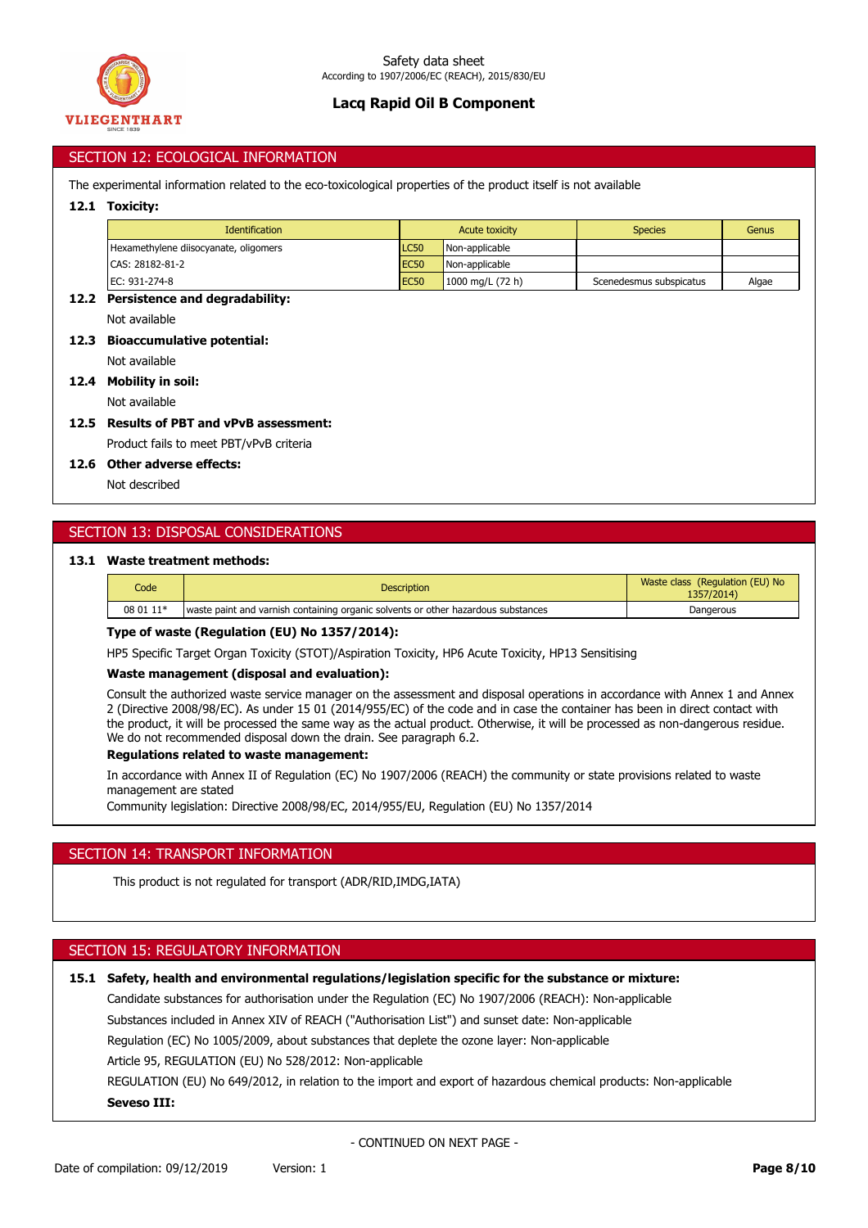

# SECTION 12: ECOLOGICAL INFORMATION

The experimental information related to the eco-toxicological properties of the product itself is not available

#### **12.1 Toxicity:**

| <b>Identification</b>                                                                                                                                                                                                            |             | Acute toxicity   | <b>Species</b>          | Genus |  |  |
|----------------------------------------------------------------------------------------------------------------------------------------------------------------------------------------------------------------------------------|-------------|------------------|-------------------------|-------|--|--|
| Hexamethylene diisocyanate, oligomers                                                                                                                                                                                            | <b>LC50</b> | Non-applicable   |                         |       |  |  |
| CAS: 28182-81-2                                                                                                                                                                                                                  | <b>EC50</b> | Non-applicable   |                         |       |  |  |
| EC: 931-274-8                                                                                                                                                                                                                    | <b>EC50</b> | 1000 mg/L (72 h) | Scenedesmus subspicatus | Algae |  |  |
| 12.2 Persistence and degradability:                                                                                                                                                                                              |             |                  |                         |       |  |  |
| Not available                                                                                                                                                                                                                    |             |                  |                         |       |  |  |
| 12.3 Bioaccumulative potential:                                                                                                                                                                                                  |             |                  |                         |       |  |  |
| Not available                                                                                                                                                                                                                    |             |                  |                         |       |  |  |
| 12.4 Mobility in soil:                                                                                                                                                                                                           |             |                  |                         |       |  |  |
| Not available                                                                                                                                                                                                                    |             |                  |                         |       |  |  |
| 12.5 Results of PBT and vPvB assessment:                                                                                                                                                                                         |             |                  |                         |       |  |  |
| Product fails to meet PBT/vPvB criteria                                                                                                                                                                                          |             |                  |                         |       |  |  |
| 12.6 Other adverse effects:                                                                                                                                                                                                      |             |                  |                         |       |  |  |
| $\cdots$ . The contract of the contract of the contract of the contract of the contract of the contract of the contract of the contract of the contract of the contract of the contract of the contract of the contract of the c |             |                  |                         |       |  |  |

Not described

# SECTION 13: DISPOSAL CONSIDERATIONS

# **13.1 Waste treatment methods:**

| Code      | <b>Description</b>                                                                | Waste class (Regulation (EU) No<br>1357/2014) |  |
|-----------|-----------------------------------------------------------------------------------|-----------------------------------------------|--|
| 08 01 11* | waste paint and varnish containing organic solvents or other hazardous substances | Dangerous                                     |  |

#### **Type of waste (Regulation (EU) No 1357/2014):**

HP5 Specific Target Organ Toxicity (STOT)/Aspiration Toxicity, HP6 Acute Toxicity, HP13 Sensitising

#### **Waste management (disposal and evaluation):**

Consult the authorized waste service manager on the assessment and disposal operations in accordance with Annex 1 and Annex 2 (Directive 2008/98/EC). As under 15 01 (2014/955/EC) of the code and in case the container has been in direct contact with the product, it will be processed the same way as the actual product. Otherwise, it will be processed as non-dangerous residue. We do not recommended disposal down the drain. See paragraph 6.2.

#### **Regulations related to waste management:**

In accordance with Annex II of Regulation (EC) No 1907/2006 (REACH) the community or state provisions related to waste management are stated

Community legislation: Directive 2008/98/EC, 2014/955/EU, Regulation (EU) No 1357/2014

## SECTION 14: TRANSPORT INFORMATION

This product is not regulated for transport (ADR/RID,IMDG,IATA)

# SECTION 15: REGULATORY INFORMATION

**15.1 Safety, health and environmental regulations/legislation specific for the substance or mixture:**

Candidate substances for authorisation under the Regulation (EC) No 1907/2006 (REACH): Non-applicable

Substances included in Annex XIV of REACH ("Authorisation List") and sunset date: Non-applicable

Regulation (EC) No 1005/2009, about substances that deplete the ozone layer: Non-applicable

Article 95, REGULATION (EU) No 528/2012: Non-applicable

REGULATION (EU) No 649/2012, in relation to the import and export of hazardous chemical products: Non-applicable **Seveso III:**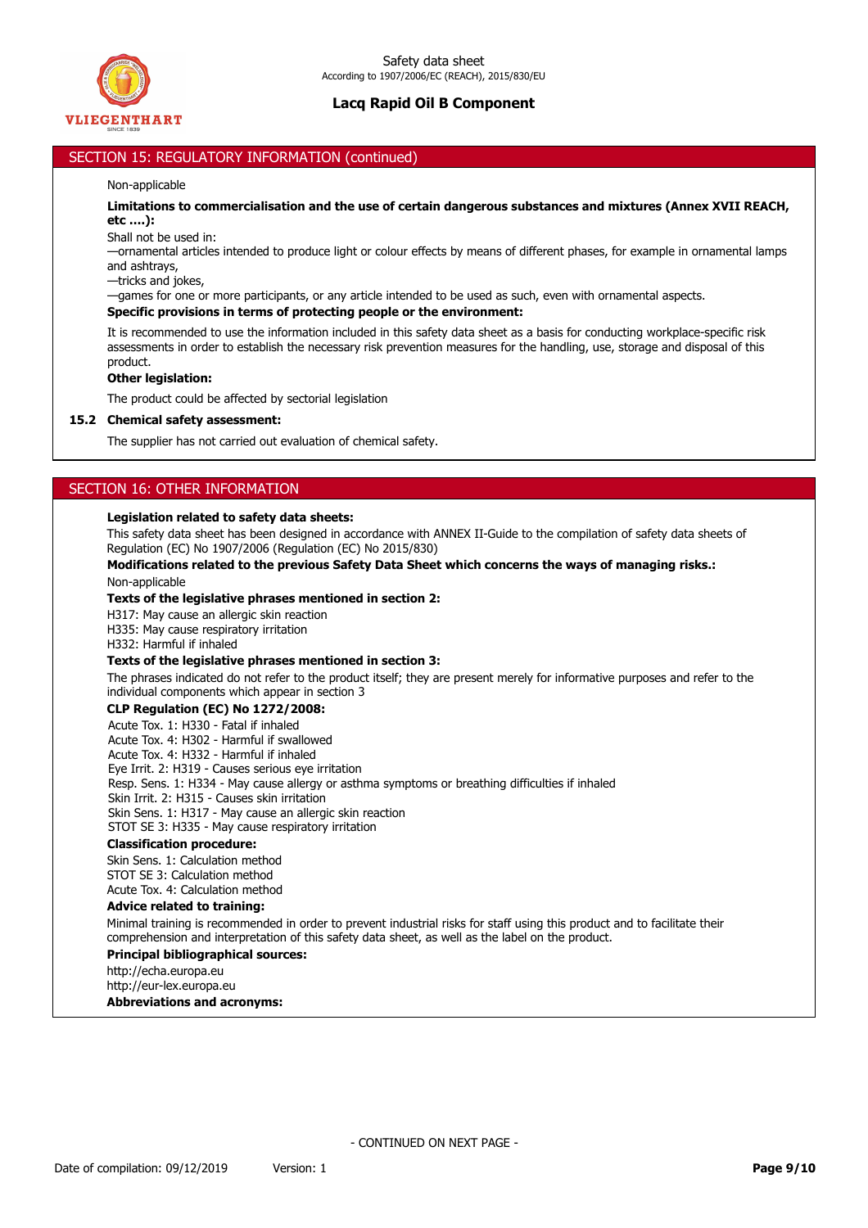

# SECTION 15: REGULATORY INFORMATION (continued)

# Non-applicable

#### **Limitations to commercialisation and the use of certain dangerous substances and mixtures (Annex XVII REACH, etc ….):**

Shall not be used in:

—ornamental articles intended to produce light or colour effects by means of different phases, for example in ornamental lamps and ashtrays,

—tricks and jokes,

—games for one or more participants, or any article intended to be used as such, even with ornamental aspects.

### **Specific provisions in terms of protecting people or the environment:**

It is recommended to use the information included in this safety data sheet as a basis for conducting workplace-specific risk assessments in order to establish the necessary risk prevention measures for the handling, use, storage and disposal of this product.

# **Other legislation:**

The product could be affected by sectorial legislation

### **15.2 Chemical safety assessment:**

The supplier has not carried out evaluation of chemical safety.

# SECTION 16: OTHER INFORMATION

#### **Legislation related to safety data sheets:**

This safety data sheet has been designed in accordance with ANNEX II-Guide to the compilation of safety data sheets of Regulation (EC) No 1907/2006 (Regulation (EC) No 2015/830)

#### **Modifications related to the previous Safety Data Sheet which concerns the ways of managing risks.:** Non-applicable

## **Texts of the legislative phrases mentioned in section 2:**

H317: May cause an allergic skin reaction

H335: May cause respiratory irritation

H332: Harmful if inhaled

#### **Texts of the legislative phrases mentioned in section 3:**

The phrases indicated do not refer to the product itself; they are present merely for informative purposes and refer to the individual components which appear in section 3

# **CLP Regulation (EC) No 1272/2008:**

Acute Tox. 1: H330 - Fatal if inhaled Acute Tox. 4: H302 - Harmful if swallowed Acute Tox. 4: H332 - Harmful if inhaled Eye Irrit. 2: H319 - Causes serious eye irritation Resp. Sens. 1: H334 - May cause allergy or asthma symptoms or breathing difficulties if inhaled Skin Irrit. 2: H315 - Causes skin irritation Skin Sens. 1: H317 - May cause an allergic skin reaction STOT SE 3: H335 - May cause respiratory irritation **Classification procedure:** Skin Sens. 1: Calculation method STOT SE 3: Calculation method Acute Tox. 4: Calculation method **Advice related to training:** Minimal training is recommended in order to prevent industrial risks for staff using this product and to facilitate their comprehension and interpretation of this safety data sheet, as well as the label on the product. **Principal bibliographical sources:**

http://echa.europa.eu

http://eur-lex.europa.eu **Abbreviations and acronyms:**